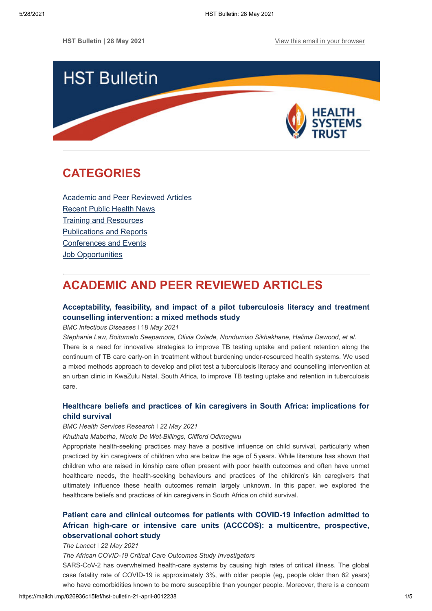

## <span id="page-0-1"></span>**CATEGORIES**

[Academic and Peer Reviewed Articles](#page-0-0) [Recent Public Health News](#page-1-0) Training and Resources [Publications and Reports](#page-2-0) [Conferences and Events](#page-3-0) **[Job Opportunities](#page-3-1)** 

# <span id="page-0-0"></span>**ACADEMIC AND PEER REVIEWED ARTICLES**

### **[Acceptability, feasibility, and impact of a pilot tuberculosis literacy and treatment](https://bmcinfectdis.biomedcentral.com/articles/10.1186/s12879-021-06136-1) counselling intervention: a mixed methods study**

*BMC Infectious Diseases* ǀ 18 *May 2021*

*Stephanie Law, Boitumelo Seepamore, Olivia Oxlade, Nondumiso Sikhakhane, Halima Dawood, et al.* There is a need for innovative strategies to improve TB testing uptake and patient retention along the continuum of TB care early-on in treatment without burdening under-resourced health systems. We used a mixed methods approach to develop and pilot test a tuberculosis literacy and counselling intervention at an urban clinic in KwaZulu Natal, South Africa, to improve TB testing uptake and retention in tuberculosis care.

### **[Healthcare beliefs and practices of kin caregivers in South Africa: implications for](https://bmchealthservres.biomedcentral.com/articles/10.1186/s12913-021-06357-9#availability-of-data-and-materials) child survival**

#### *BMC Health Services Research* ǀ *22 May 2021*

*Khuthala Mabetha, Nicole De Wet-Billings, Clifford Odimegwu*

Appropriate health-seeking practices may have a positive influence on child survival, particularly when practiced by kin caregivers of children who are below the age of 5 years. While literature has shown that children who are raised in kinship care often present with poor health outcomes and often have unmet healthcare needs, the health-seeking behaviours and practices of the children's kin caregivers that ultimately influence these health outcomes remain largely unknown. In this paper, we explored the healthcare beliefs and practices of kin caregivers in South Africa on child survival.

## **Patient care and clinical outcomes for patients with COVID-19 infection admitted to [African high-care or intensive care units \(ACCCOS\): a multicentre, prospective,](https://www.thelancet.com/journals/lancet/article/PIIS0140-6736(21)00441-4/fulltext) observational cohort study**

#### *The Lancet* ǀ *22 May 2021*

*The African COVID-19 Critical Care Outcomes Study Investigators*

SARS-CoV-2 has overwhelmed health-care systems by causing high rates of critical illness. The global case fatality rate of COVID-19 is approximately 3%, with older people (eg, people older than 62 years) who have comorbidities known to be more susceptible than younger people. Moreover, there is a concern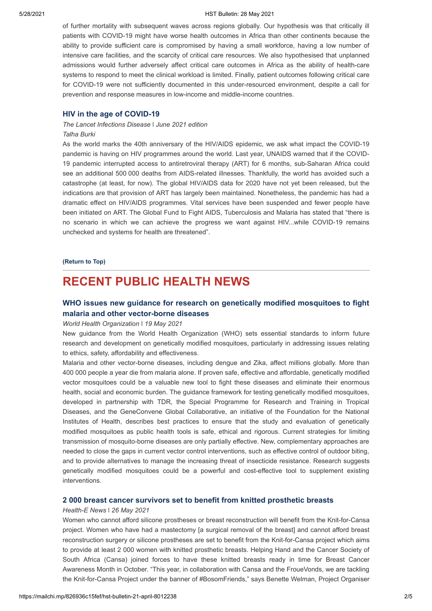#### 5/28/2021 HST Bulletin: 28 May 2021

of further mortality with subsequent waves across regions globally. Our hypothesis was that critically ill patients with COVID-19 might have worse health outcomes in Africa than other continents because the ability to provide sufficient care is compromised by having a small workforce, having a low number of intensive care facilities, and the scarcity of critical care resources. We also hypothesised that unplanned admissions would further adversely affect critical care outcomes in Africa as the ability of health-care systems to respond to meet the clinical workload is limited. Finally, patient outcomes following critical care for COVID-19 were not sufficiently documented in this under-resourced environment, despite a call for prevention and response measures in low-income and middle-income countries.

#### **[HIV in the age of COVID-19](https://www.thelancet.com/journals/laninf/article/PIIS1473-3099(21)00279-6/fulltext)**

#### *The Lancet Infections Disease ǀ June 2021 edition Talha Burki*

As the world marks the 40th anniversary of the HIV/AIDS epidemic, we ask what impact the COVID-19 pandemic is having on HIV programmes around the world. Last year, UNAIDS warned that if the COVID-19 pandemic interrupted access to antiretroviral therapy (ART) for 6 months, sub-Saharan Africa could see an additional 500 000 deaths from AIDS-related illnesses. Thankfully, the world has avoided such a catastrophe (at least, for now). The global HIV/AIDS data for 2020 have not yet been released, but the indications are that provision of ART has largely been maintained. Nonetheless, the pandemic has had a dramatic effect on HIV/AIDS programmes. Vital services have been suspended and fewer people have been initiated on ART. The Global Fund to Fight AIDS, Tuberculosis and Malaria has stated that "there is no scenario in which we can achieve the progress we want against HIV...while COVID-19 remains unchecked and systems for health are threatened".

#### **[\(Return to Top\)](#page-0-1)**

## <span id="page-1-0"></span>**RECENT PUBLIC HEALTH NEWS**

### **[WHO issues new guidance for research on genetically modified mosquitoes to fight](https://www.who.int/news/item/19-05-2021-who-issues-new-guidance-for-research-on-genetically-modified-mosquitoes-to-fight-malaria-and-other-vector-borne-diseases) malaria and other vector-borne diseases**

#### *World Health Organization* ǀ *19 May 2021*

New guidance from the World Health Organization (WHO) sets essential standards to inform future research and development on genetically modified mosquitoes, particularly in addressing issues relating to ethics, safety, affordability and effectiveness.

Malaria and other vector-borne diseases, including dengue and Zika, affect millions globally. More than 400 000 people a year die from malaria alone. If proven safe, effective and affordable, genetically modified vector mosquitoes could be a valuable new tool to fight these diseases and eliminate their enormous health, social and economic burden. The guidance framework for testing genetically modified mosquitoes, developed in partnership with TDR, the Special Programme for Research and Training in Tropical Diseases, and the GeneConvene Global Collaborative, an initiative of the Foundation for the National Institutes of Health, describes best practices to ensure that the study and evaluation of genetically modified mosquitoes as public health tools is safe, ethical and rigorous. Current strategies for limiting transmission of mosquito-borne diseases are only partially effective. New, complementary approaches are needed to close the gaps in current vector control interventions, such as effective control of outdoor biting, and to provide alternatives to manage the increasing threat of insecticide resistance. Research suggests genetically modified mosquitoes could be a powerful and cost-effective tool to supplement existing interventions.

#### **[2 000 breast cancer survivors set to benefit from knitted prosthetic breasts](https://health-e.org.za/2021/05/26/2-000-breast-cancer-survivors-set-to-benefit-from-knitted-prosthetic-breasts/)**

#### *Health-E News* ǀ *26 May 2021*

Women who cannot afford silicone prostheses or breast reconstruction will benefit from the Knit-for-Cansa project. Women who have had a mastectomy [a surgical removal of the breast] and cannot afford breast reconstruction surgery or silicone prostheses are set to benefit from the Knit-for-Cansa project which aims to provide at least 2 000 women with knitted prosthetic breasts. Helping Hand and the Cancer Society of South Africa (Cansa) joined forces to have these knitted breasts ready in time for Breast Cancer Awareness Month in October. "This year, in collaboration with Cansa and the FroueVonds, we are tackling the Knit-for-Cansa Project under the banner of #BosomFriends," says Benette Welman, Project Organiser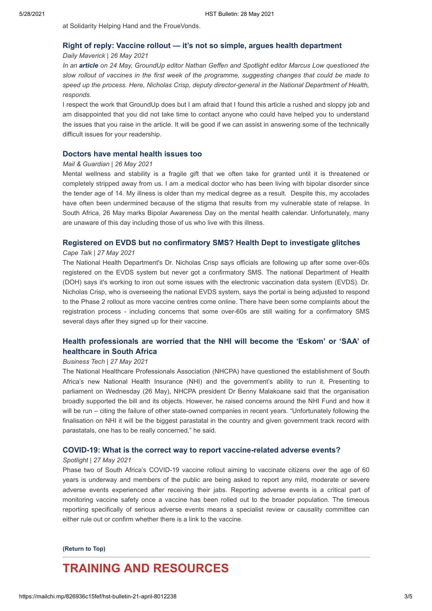at Solidarity Helping Hand and the FroueVonds.

#### **[Right of reply: Vaccine rollout — it's not so simple, argues health department](https://www.dailymaverick.co.za/article/2021-05-26-right-of-reply-vaccine-rollout-its-not-so-simple-argues-health-department/)**

#### *Daily Maverick* | *26 May 2021*

*In an [article](https://www.dailymaverick.co.za/article/2021-05-24-one-week-of-covid-vaccines-what-are-we-doing-well-what-can-be-done-better/) on 24 May, GroundUp editor Nathan Geffen and Spotlight editor Marcus Low questioned the slow rollout of vaccines in the first week of the programme, suggesting changes that could be made to speed up the process. Here, Nicholas Crisp, deputy director-general in the National Department of Health, responds.*

I respect the work that GroundUp does but I am afraid that I found this article a rushed and sloppy job and am disappointed that you did not take time to contact anyone who could have helped you to understand the issues that you raise in the article. It will be good if we can assist in answering some of the technically difficult issues for your readership.

#### **[Doctors have mental health issues too](https://mg.co.za/opinion/2021-05-26-doctors-have-mental-health-issues-too/)**

#### *Mail & Guardian* | *26 May 2021*

Mental wellness and stability is a fragile gift that we often take for granted until it is threatened or completely stripped away from us. I am a medical doctor who has been living with bipolar disorder since the tender age of 14. My illness is older than my medical degree as a result. Despite this, my accolades have often been undermined because of the stigma that results from my vulnerable state of relapse. In South Africa, 26 May marks Bipolar Awareness Day on the mental health calendar. Unfortunately, many are unaware of this day including those of us who live with this illness.

#### **[Registered on EVDS but no confirmatory SMS? Health Dept to investigate glitches](https://www.capetalk.co.za/articles/417545/registered-on-evds-but-no-confirmatory-sms-health-dept-to-investigate-glitches)**

#### *Cape Talk* | *27 May 2021*

The National Health Department's Dr. Nicholas Crisp says officials are following up after some over-60s registered on the EVDS system but never got a confirmatory SMS. The national Department of Health (DOH) says it's working to iron out some issues with the electronic vaccination data system (EVDS). Dr. Nicholas Crisp, who is overseeing the national EVDS system, says the portal is being adjusted to respond to the Phase 2 rollout as more vaccine centres come online. There have been some complaints about the registration process - including concerns that some over-60s are still waiting for a confirmatory SMS several days after they signed up for their vaccine.

### **[Health professionals are worried that the NHI will become the 'Eskom' or 'SAA' of](https://businesstech.co.za/news/government/493821/health-professionals-are-worried-that-the-nhi-will-become-the-eskom-or-saa-of-healthcare-in-south-africa/) healthcare in South Africa**

#### *Business Tech* | *27 May 2021*

The National Healthcare Professionals Association (NHCPA) have questioned the establishment of South Africa's new National Health Insurance (NHI) and the government's ability to run it. Presenting to parliament on Wednesday (26 May), NHCPA president Dr Benny Malakoane said that the organisation broadly supported the bill and its objects. However, he raised concerns around the NHI Fund and how it will be run – citing the failure of other state-owned companies in recent years. "Unfortunately following the finalisation on NHI it will be the biggest parastatal in the country and given government track record with parastatals, one has to be really concerned," he said.

#### **[COVID-19: What is the correct way to report vaccine-related adverse events?](https://www.spotlightnsp.co.za/2021/05/27/covid-19-what-is-the-correct-way-to-report-vaccine-related-adverse-events/)**

#### *Spotlight* | *27 May 2021*

Phase two of South Africa's COVID-19 vaccine rollout aiming to vaccinate citizens over the age of 60 years is underway and members of the public are being asked to report any mild, moderate or severe adverse events experienced after receiving their jabs. Reporting adverse events is a critical part of monitoring vaccine safety once a vaccine has been rolled out to the broader population. The timeous reporting specifically of serious adverse events means a specialist review or causality committee can either rule out or confirm whether there is a link to the vaccine.

#### **[\(Return to Top\)](#page-0-1)**

## <span id="page-2-0"></span>**TRAINING AND RESOURCES**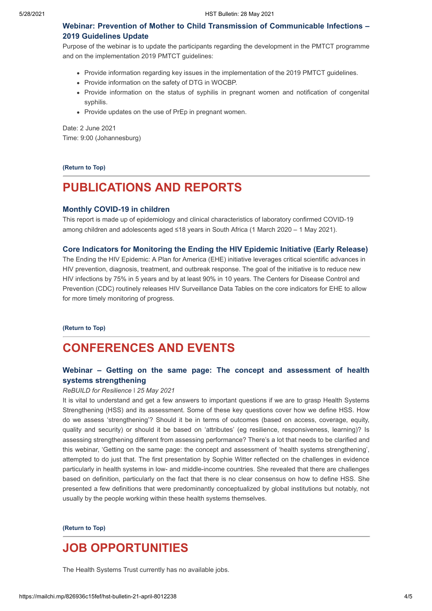**Webinar: Prevention of Mother to Child [Transmission of Communicable Infections –](https://us02web.zoom.us/webinar/register/WN_OGirawZpTxyO2q6kTZJdpQ) 2019 Guidelines Update**

Purpose of the webinar is to update the participants regarding the development in the PMTCT programme and on the implementation 2019 PMTCT guidelines:

- Provide information regarding key issues in the implementation of the 2019 PMTCT guidelines.
- Provide information on the safety of DTG in WOCBP.
- Provide information on the status of syphilis in pregnant women and notification of congenital syphilis.
- Provide updates on the use of PrEp in pregnant women.

Date: 2 June 2021 Time: 9:00 (Johannesburg)

**[\(Return to Top\)](#page-0-1)**

# **PUBLICATIONS AND REPORTS**

#### **[Monthly COVID-19 in children](https://www.nicd.ac.za/diseases-a-z-index/covid-19/surveillance-reports/monthly-covid-19-in-children/)**

This report is made up of epidemiology and clinical characteristics of laboratory confirmed COVID-19 among children and adolescents aged ≤18 years in South Africa (1 March 2020 – 1 May 2021).

#### **[Core Indicators for Monitoring the Ending the HIV Epidemic Initiative \(Early Release\)](https://www.cdc.gov/hiv/pdf/library/reports/surveillance-data-tables/vol-2-no-2/cdc-hiv-surveillance-tables-vol-2-no-2.pdf)**

The Ending the HIV Epidemic: A Plan for America (EHE) initiative leverages critical scientific advances in HIV prevention, diagnosis, treatment, and outbreak response. The goal of the initiative is to reduce new HIV infections by 75% in 5 years and by at least 90% in 10 years. The Centers for Disease Control and Prevention (CDC) routinely releases HIV Surveillance Data Tables on the core indicators for EHE to allow for more timely monitoring of progress.

**[\(Return to Top\)](#page-0-1)**

## <span id="page-3-0"></span>**CONFERENCES AND EVENTS**

### **[Webinar – Getting on the same page: The concept and assessment of](https://www.rebuildconsortium.com/the-concept-and-assessment-of-health-systems-strengthening/) health systems strengthening**

#### *ReBUILD for Resilience* ǀ *25 May 2021*

It is vital to understand and get a few answers to important questions if we are to grasp Health Systems Strengthening (HSS) and its assessment. Some of these key questions cover how we define HSS. How do we assess 'strengthening'? Should it be in terms of outcomes (based on access, coverage, equity, quality and security) or should it be based on 'attributes' (eg resilience, responsiveness, learning)? Is assessing strengthening different from assessing performance? There's a lot that needs to be clarified and this webinar, 'Getting on the same page: the concept and assessment of 'health systems strengthening', attempted to do just that. The first presentation by Sophie Witter reflected on the challenges in evidence particularly in health systems in low- and middle-income countries. She revealed that there are challenges based on definition, particularly on the fact that there is no clear consensus on how to define HSS. She presented a few definitions that were predominantly conceptualized by global institutions but notably, not usually by the people working within these health systems themselves.

**[\(Return to Top\)](#page-0-1)**

## <span id="page-3-1"></span>**JOB OPPORTUNITIES**

The Health Systems Trust currently has no available jobs.